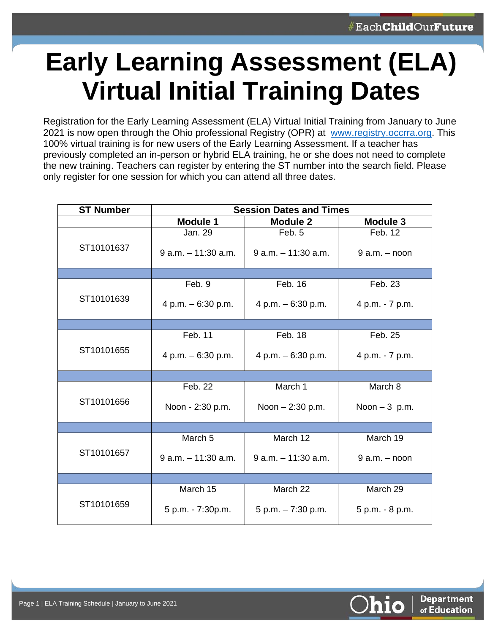## **Early Learning Assessment (ELA) Virtual Initial Training Dates**

Registration for the Early Learning Assessment (ELA) Virtual Initial Training from January to June 2021 is now open through the Ohio professional Registry (OPR) at [www.registry.occrra.org.](https://registry.occrra.org/) This 100% virtual training is for new users of the Early Learning Assessment. If a teacher has previously completed an in-person or hybrid ELA training, he or she does not need to complete the new training. Teachers can register by entering the ST number into the search field. Please only register for one session for which you can attend all three dates.

| <b>ST Number</b> | <b>Session Dates and Times</b> |                        |                   |
|------------------|--------------------------------|------------------------|-------------------|
|                  | <b>Module 1</b>                | <b>Module 2</b>        | <b>Module 3</b>   |
| ST10101637       | Jan. 29                        | Feb. 5                 | Feb. 12           |
|                  | $9$ a.m. $-11:30$ a.m.         | $9$ a.m. $-11:30$ a.m. | $9$ a.m. $-$ noon |
|                  |                                |                        |                   |
| ST10101639       | Feb. 9                         | Feb. 16                | Feb. 23           |
|                  | 4 p.m. $-6:30$ p.m.            | 4 p.m. $-6:30$ p.m.    | 4 p.m. - 7 p.m.   |
|                  |                                |                        |                   |
| ST10101655       | Feb. 11                        | Feb. 18                | Feb. 25           |
|                  | 4 p.m. $-6:30$ p.m.            | 4 p.m. - 6:30 p.m.     | 4 p.m. - 7 p.m.   |
|                  |                                |                        |                   |
| ST10101656       | Feb. 22                        | March 1                | March 8           |
|                  | Noon - 2:30 p.m.               | Noon $-2:30$ p.m.      | Noon $-3$ p.m.    |
|                  |                                |                        |                   |
| ST10101657       | March <sub>5</sub>             | March 12               | March 19          |
|                  | $9$ a.m. $-11:30$ a.m.         | $9$ a.m. $-11:30$ a.m. | $9$ a.m. $-$ noon |
|                  |                                |                        |                   |
| ST10101659       | March 15                       | March 22               | March 29          |
|                  | 5 p.m. - 7:30p.m.              | $5 p.m. - 7:30 p.m.$   | 5 p.m. - 8 p.m.   |